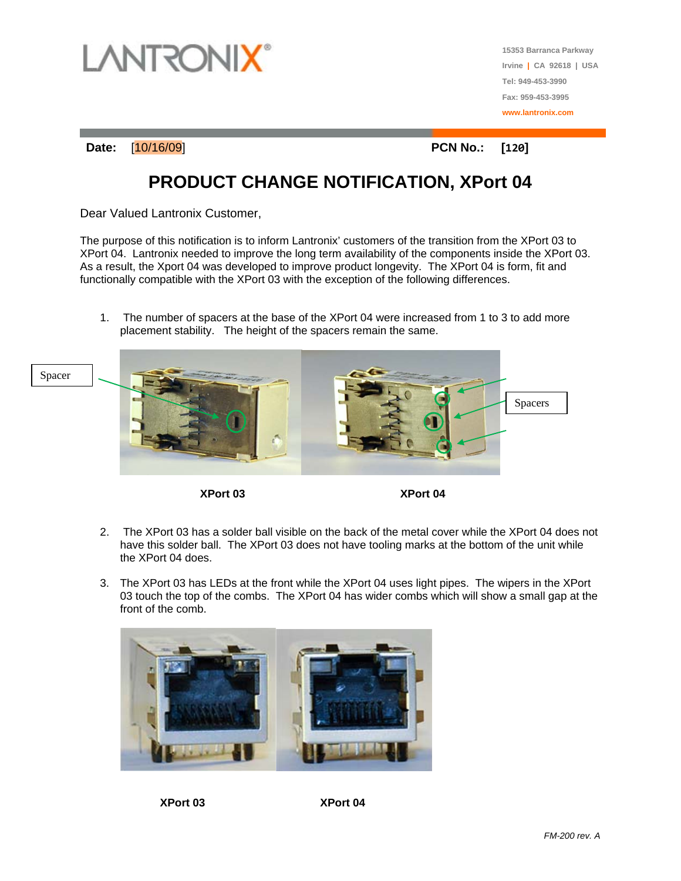

**15353 Barranca Parkway Irvine | CA 92618 | USA Tel: 949-453-3990 Fax: 959-453-3995 www.lantronix.com**

**Date:** [10/16/09] **PCN No.: [120]**

## **PRODUCT CHANGE NOTIFICATION, XPort 04**

Dear Valued Lantronix Customer,

The purpose of this notification is to inform Lantronix' customers of the transition from the XPort 03 to XPort 04. Lantronix needed to improve the long term availability of the components inside the XPort 03. As a result, the Xport 04 was developed to improve product longevity. The XPort 04 is form, fit and functionally compatible with the XPort 03 with the exception of the following differences.

1. The number of spacers at the base of the XPort 04 were increased from 1 to 3 to add more placement stability. The height of the spacers remain the same.



**XPort 03 XPort 04** 

- 2. The XPort 03 has a solder ball visible on the back of the metal cover while the XPort 04 does not have this solder ball. The XPort 03 does not have tooling marks at the bottom of the unit while the XPort 04 does.
- 3. The XPort 03 has LEDs at the front while the XPort 04 uses light pipes. The wipers in the XPort 03 touch the top of the combs. The XPort 04 has wider combs which will show a small gap at the front of the comb.



**XPort 03 XPort 04**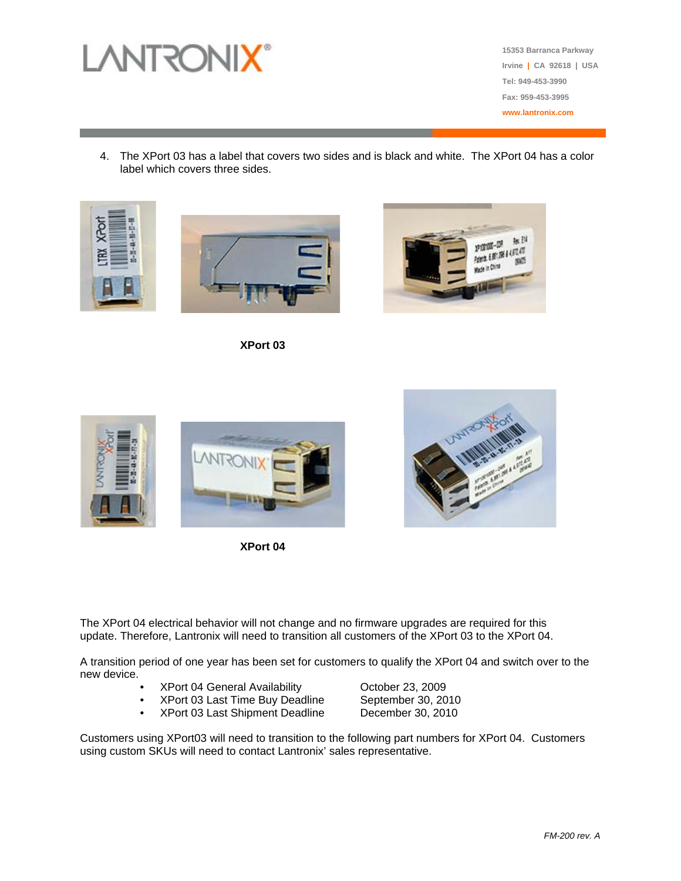

**15353 Barranca Parkway Irvine | CA 92618 | USA Tel: 949-453-3990 Fax: 959-453-3995 www.lantronix.com**

4. The XPort 03 has a label that covers two sides and is black and white. The XPort 04 has a color label which covers three sides.







**XPort 03**



**XPort 04**



The XPort 04 electrical behavior will not change and no firmware upgrades are required for this update. Therefore, Lantronix will need to transition all customers of the XPort 03 to the XPort 04.

A transition period of one year has been set for customers to qualify the XPort 04 and switch over to the new device.

- 
- 
- XPort 03 Last Shipment Deadline

• XPort 04 General Availability October 23, 2009 • XPort 03 Last Time Buy Deadline September 30, 2010<br>• XPort 03 Last Shipment Deadline December 30, 2010

Customers using XPort03 will need to transition to the following part numbers for XPort 04. Customers using custom SKUs will need to contact Lantronix' sales representative.